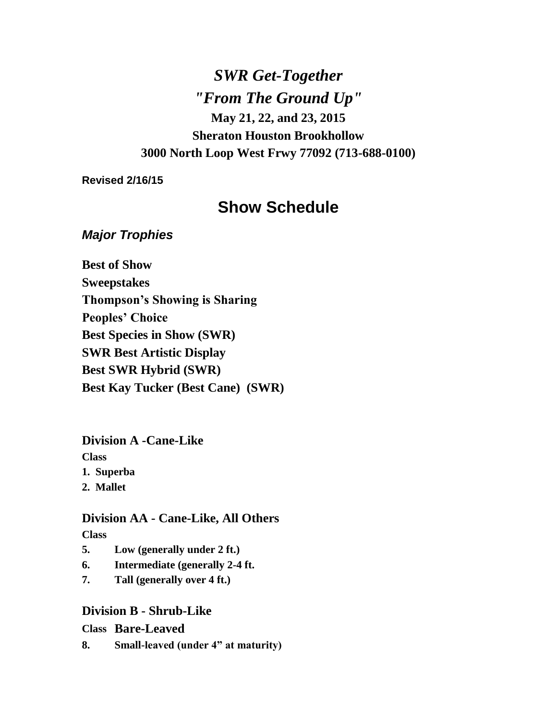*SWR Get-Together "From The Ground Up"* **May 21, 22, and 23, 2015 Sheraton Houston Brookhollow 3000 North Loop West Frwy 77092 (713-688-0100)**

**Revised 2/16/15**

# **Show Schedule**

### *Major Trophies*

**Best of Show Sweepstakes Thompson's Showing is Sharing Peoples' Choice Best Species in Show (SWR) SWR Best Artistic Display Best SWR Hybrid (SWR) Best Kay Tucker (Best Cane) (SWR)**

**Division A -Cane-Like** 

**Class**

**1. Superba**

**2. Mallet**

### **Division AA - Cane-Like, All Others**

**Class**

- **5. Low (generally under 2 ft.)**
- **6. Intermediate (generally 2-4 ft.**
- **7. Tall (generally over 4 ft.)**

## **Division B - Shrub-Like**

**Class Bare-Leaved**

**8. Small-leaved (under 4" at maturity)**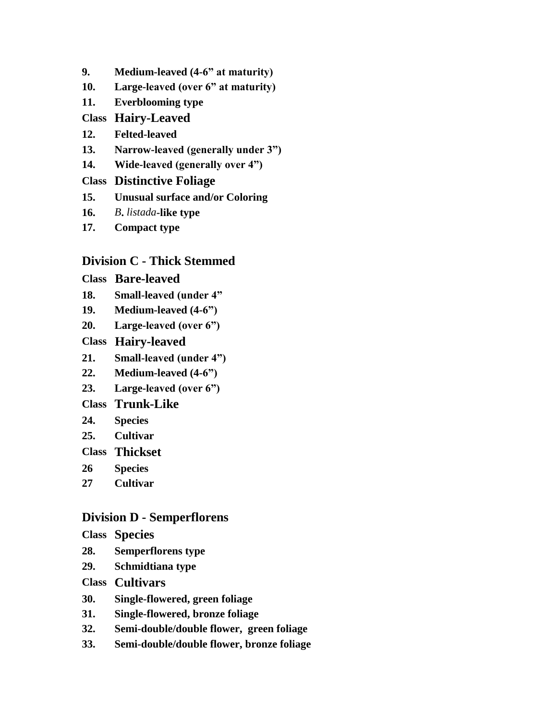- **9. Medium-leaved (4-6" at maturity)**
- **10. Large-leaved (over 6" at maturity)**
- **11. Everblooming type**

#### **Class Hairy-Leaved**

- **12. Felted-leaved**
- **13. Narrow-leaved (generally under 3")**
- **14. Wide-leaved (generally over 4")**

### **Class Distinctive Foliage**

- **15. Unusual surface and/or Coloring**
- **16.** *B***.** *listada***-like type**
- **17. Compact type**

## **Division C - Thick Stemmed**

#### **Class Bare-leaved**

- **18. Small-leaved (under 4"**
- **19. Medium-leaved (4-6")**
- **20. Large-leaved (over 6")**

### **Class Hairy-leaved**

- **21. Small-leaved (under 4")**
- **22. Medium-leaved (4-6")**
- **23. Large-leaved (over 6")**

### **Class Trunk-Like**

- **24. Species**
- **25. Cultivar**
- **Class Thickset**
- **26 Species**
- **27 Cultivar**

### **Division D - Semperflorens**

- **Class Species**
- **28. Semperflorens type**
- **29. Schmidtiana type**
- **Class Cultivars**
- **30. Single-flowered, green foliage**
- **31. Single-flowered, bronze foliage**
- **32. Semi-double/double flower, green foliage**
- **33. Semi-double/double flower, bronze foliage**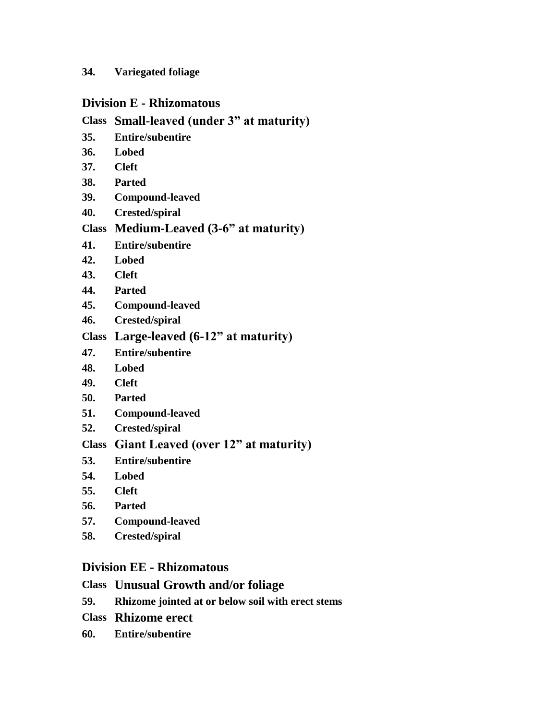#### **34. Variegated foliage**

#### **Division E - Rhizomatous**

### **Class Small-leaved (under 3" at maturity)**

- **35. Entire/subentire**
- **36. Lobed**
- **37. Cleft**
- **38. Parted**
- **39. Compound-leaved**
- **40. Crested/spiral**

### **Class Medium-Leaved (3-6" at maturity)**

- **41. Entire/subentire**
- **42. Lobed**
- **43. Cleft**
- **44. Parted**
- **45. Compound-leaved**
- **46. Crested/spiral**

# **Class Large-leaved (6-12" at maturity)**

- **47. Entire/subentire**
- **48. Lobed**
- **49. Cleft**
- **50. Parted**
- **51. Compound-leaved**
- **52. Crested/spiral**

# **Class Giant Leaved (over 12" at maturity)**

- **53. Entire/subentire**
- **54. Lobed**
- **55. Cleft**
- **56. Parted**
- **57. Compound-leaved**
- **58. Crested/spiral**

### **Division EE - Rhizomatous**

#### **Class Unusual Growth and/or foliage**

- **59. Rhizome jointed at or below soil with erect stems**
- **Class Rhizome erect**
- **60. Entire/subentire**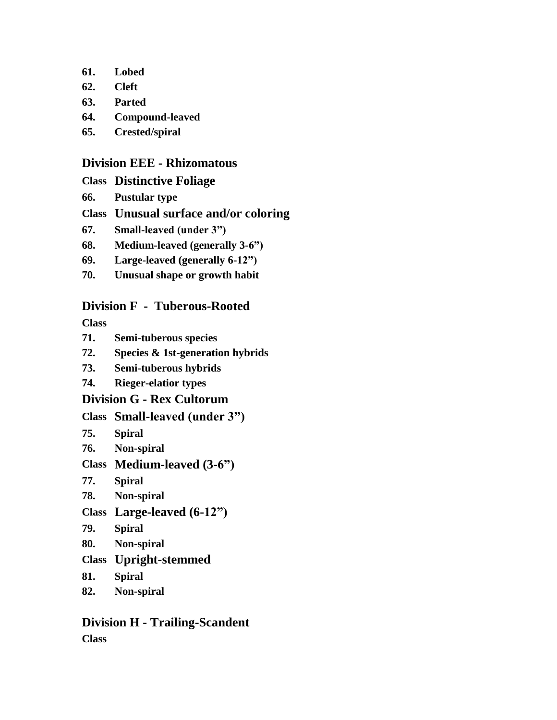- **61. Lobed**
- **62. Cleft**
- **63. Parted**
- **64. Compound-leaved**
- **65. Crested/spiral**

### **Division EEE - Rhizomatous**

- **Class Distinctive Foliage**
- **66. Pustular type**
- **Class Unusual surface and/or coloring**
- **67. Small-leaved (under 3")**
- **68. Medium-leaved (generally 3-6")**
- **69. Large-leaved (generally 6-12")**
- **70. Unusual shape or growth habit**

# **Division F - Tuberous-Rooted**

**Class**

- **71. Semi-tuberous species**
- **72. Species & 1st-generation hybrids**
- **73. Semi-tuberous hybrids**
- **74. Rieger-elatior types**

## **Division G - Rex Cultorum**

## **Class Small-leaved (under 3")**

- **75. Spiral**
- **76. Non-spiral**
- **Class Medium-leaved (3-6")**
- **77. Spiral**
- **78. Non-spiral**
- **Class Large-leaved (6-12")**
- **79. Spiral**
- **80. Non-spiral**
- **Class Upright-stemmed**
- **81. Spiral**
- **82. Non-spiral**

## **Division H - Trailing-Scandent Class**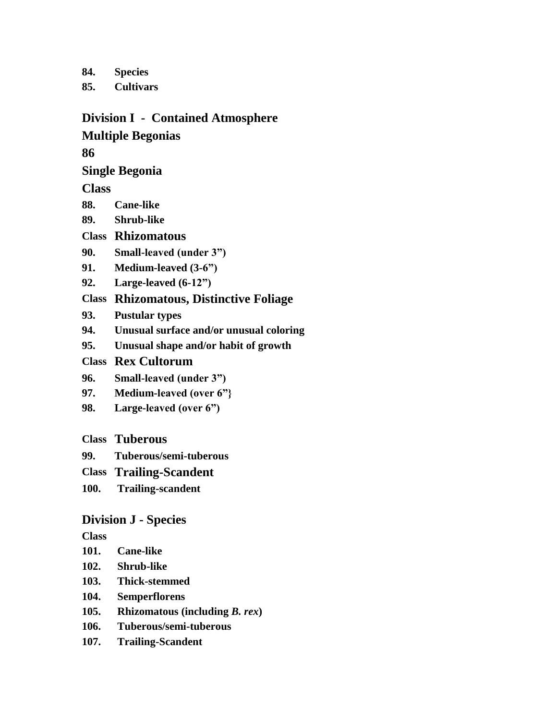**84. Species**

**85. Cultivars**

#### **Division I - Contained Atmosphere**

### **Multiple Begonias**

**86**

### **Single Begonia**

**Class**

- **88. Cane-like**
- **89. Shrub-like**

### **Class Rhizomatous**

- **90. Small-leaved (under 3")**
- **91. Medium-leaved (3-6")**
- **92. Large-leaved (6-12")**

# **Class Rhizomatous, Distinctive Foliage**

- **93. Pustular types**
- **94. Unusual surface and/or unusual coloring**
- **95. Unusual shape and/or habit of growth**

### **Class Rex Cultorum**

- **96. Small-leaved (under 3")**
- **97. Medium-leaved (over 6"}**
- **98. Large-leaved (over 6")**

## **Class Tuberous**

- **99. Tuberous/semi-tuberous**
- **Class Trailing-Scandent**
- **100. Trailing-scandent**

# **Division J - Species**

**Class**

- **101. Cane-like**
- **102. Shrub-like**
- **103. Thick-stemmed**
- **104. Semperflorens**
- **105. Rhizomatous (including** *B. rex***)**
- **106. Tuberous/semi-tuberous**
- **107. Trailing-Scandent**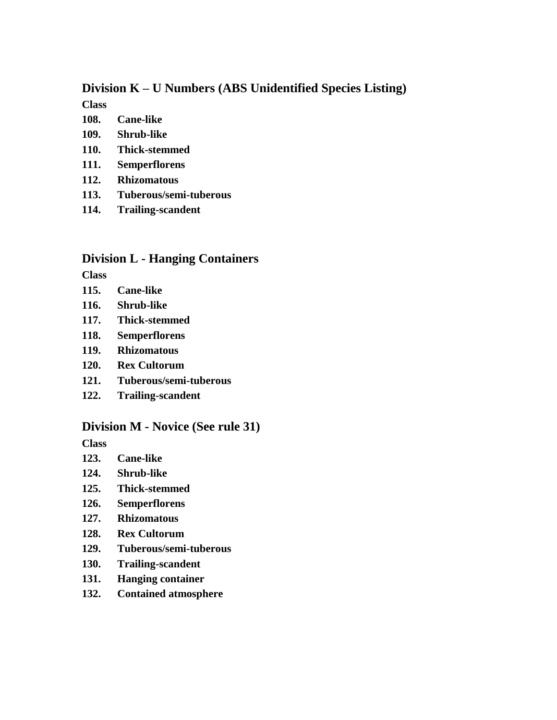#### **Division K – U Numbers (ABS Unidentified Species Listing)**

**Class**

- **108. Cane-like**
- **109. Shrub-like**
- **110. Thick-stemmed**
- **111. Semperflorens**
- **112. Rhizomatous**
- **113. Tuberous/semi-tuberous**
- **114. Trailing-scandent**

### **Division L - Hanging Containers**

**Class**

- **115. Cane-like**
- **116. Shrub-like**
- **117. Thick-stemmed**
- **118. Semperflorens**
- **119. Rhizomatous**
- **120. Rex Cultorum**
- **121. Tuberous/semi-tuberous**
- **122. Trailing-scandent**

#### **Division M - Novice (See rule 31)**

**Class**

- **123. Cane-like**
- **124. Shrub-like**
- **125. Thick-stemmed**
- **126. Semperflorens**
- **127. Rhizomatous**
- **128. Rex Cultorum**
- **129. Tuberous/semi-tuberous**
- **130. Trailing-scandent**
- **131. Hanging container**
- **132. Contained atmosphere**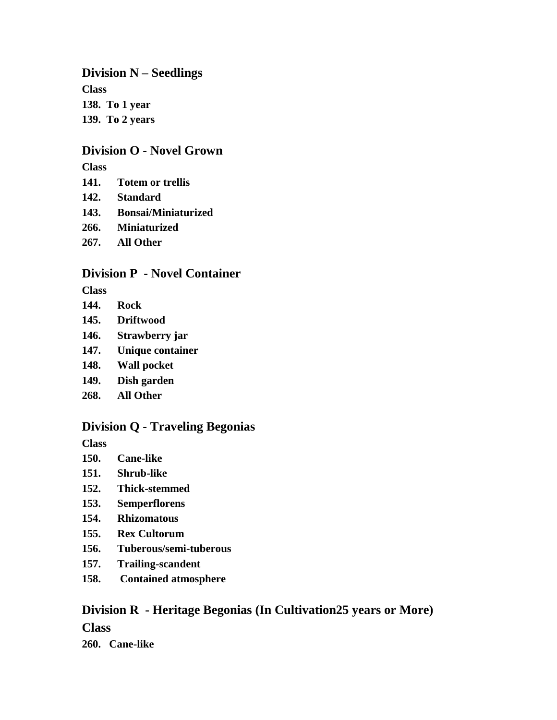**Division N – Seedlings Class 138. To 1 year 139. To 2 years**

## **Division O - Novel Grown**

**Class**

- **141. Totem or trellis**
- **142. Standard**
- **143. Bonsai/Miniaturized**
- **266. Miniaturized**
- **267. All Other**

## **Division P - Novel Container**

**Class**

- **144. Rock**
- **145. Driftwood**
- **146. Strawberry jar**
- **147. Unique container**
- **148. Wall pocket**
- **149. Dish garden**
- **268. All Other**

## **Division Q - Traveling Begonias**

**Class**

- **150. Cane-like**
- **151. Shrub-like**
- **152. Thick-stemmed**
- **153. Semperflorens**
- **154. Rhizomatous**
- **155. Rex Cultorum**
- **156. Tuberous/semi-tuberous**
- **157. Trailing-scandent**
- **158. Contained atmosphere**

# **Division R - Heritage Begonias (In Cultivation25 years or More)**

**Class**

**260. Cane-like**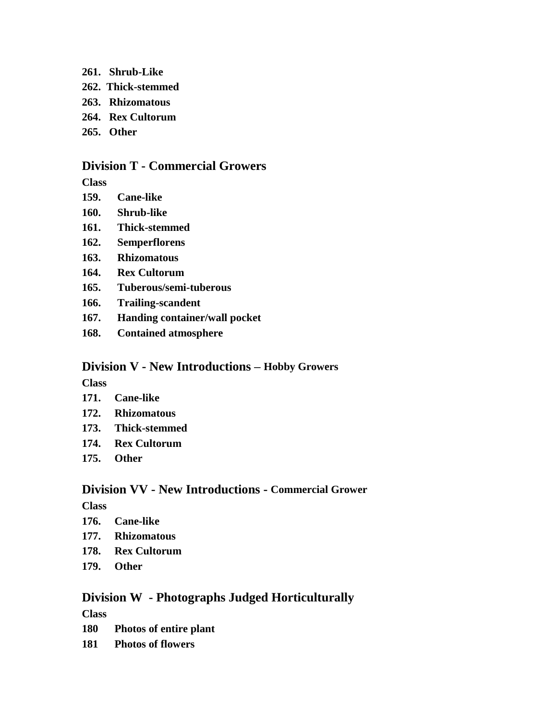- **261. Shrub-Like**
- **262. Thick-stemmed**
- **263. Rhizomatous**
- **264. Rex Cultorum**
- **265. Other**

#### **Division T - Commercial Growers**

**Class**

- **159. Cane-like**
- **160. Shrub-like**
- **161. Thick-stemmed**
- **162. Semperflorens**
- **163. Rhizomatous**
- **164. Rex Cultorum**
- **165. Tuberous/semi-tuberous**
- **166. Trailing-scandent**
- **167. Handing container/wall pocket**
- **168. Contained atmosphere**

### **Division V - New Introductions – Hobby Growers**

**Class**

- **171. Cane-like**
- **172. Rhizomatous**
- **173. Thick-stemmed**
- **174. Rex Cultorum**
- **175. Other**

#### **Division VV - New Introductions - Commercial Grower**

**Class**

- **176. Cane-like**
- **177. Rhizomatous**
- **178. Rex Cultorum**
- **179. Other**

### **Division W - Photographs Judged Horticulturally**

**Class**

- **180 Photos of entire plant**
- **181 Photos of flowers**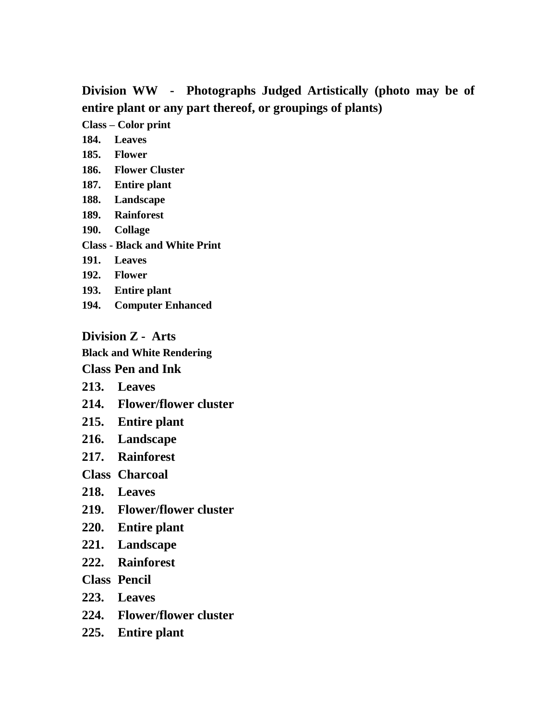**Division WW - Photographs Judged Artistically (photo may be of entire plant or any part thereof, or groupings of plants)** 

**Class – Color print**

**184. Leaves**

- **185. Flower**
- **186. Flower Cluster**
- **187. Entire plant**
- **188. Landscape**
- **189. Rainforest**
- **190. Collage**
- **Class - Black and White Print**
- **191. Leaves**
- **192. Flower**
- **193. Entire plant**
- **194. Computer Enhanced**

**Division Z - Arts** 

**Black and White Rendering Class Pen and Ink** 

- **213. Leaves**
- **214. Flower/flower cluster**
- **215. Entire plant**
- **216. Landscape**
- **217. Rainforest**

**Class Charcoal**

- **218. Leaves**
- **219. Flower/flower cluster**
- **220. Entire plant**
- **221. Landscape**
- **222. Rainforest**

**Class Pencil**

- **223. Leaves**
- **224. Flower/flower cluster**
- **225. Entire plant**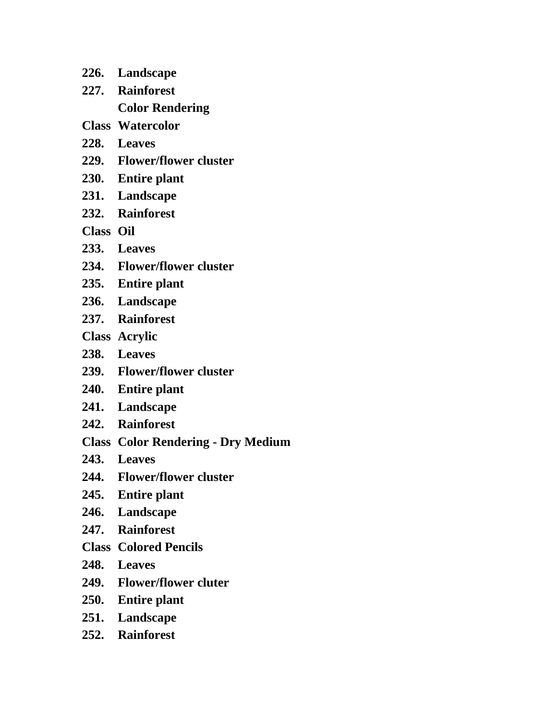- **226. Landscape**
- **227. Rainforest**

**Color Rendering**

- **Class Watercolor**
- **228. Leaves**
- **229. Flower/flower cluster**
- **230. Entire plant**
- **231. Landscape**
- **232. Rainforest**
- **Class Oil**
- **233. Leaves**
- **234. Flower/flower cluster**
- **235. Entire plant**
- **236. Landscape**
- **237. Rainforest**
- **Class Acrylic**
- **238. Leaves**
- **239. Flower/flower cluster**
- **240. Entire plant**
- **241. Landscape**
- **242. Rainforest**
- **Class Color Rendering - Dry Medium**
- **243. Leaves**
- **244. Flower/flower cluster**
- **245. Entire plant**
- **246. Landscape**
- **247. Rainforest**
- **Class Colored Pencils**
- **248. Leaves**
- **249. Flower/flower cluter**
- **250. Entire plant**
- **251. Landscape**
- **252. Rainforest**